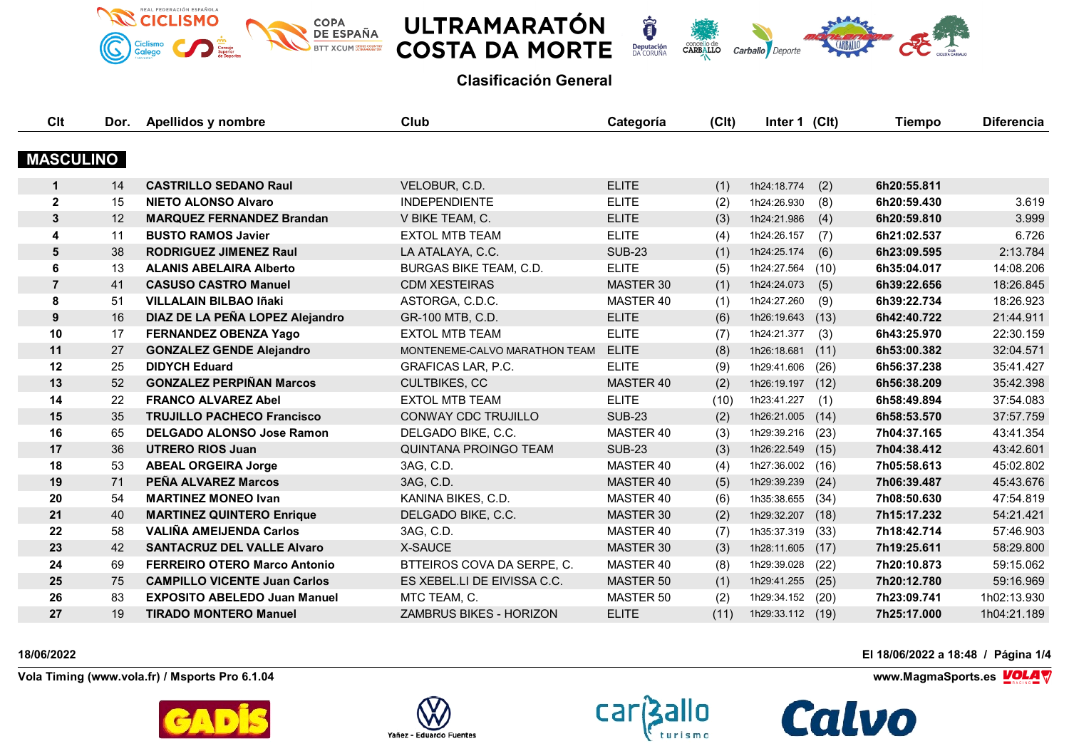





Î

**Deputación**<br>DA CORUÑA



**Clasificación General**

| <b>Clt</b>       | Dor. | Apellidos y nombre                  | <b>Club</b>                   | Categoría        | (C <sub>l</sub> ) | Inter 1 (Clt) |      | <b>Tiempo</b> | <b>Diferencia</b> |
|------------------|------|-------------------------------------|-------------------------------|------------------|-------------------|---------------|------|---------------|-------------------|
| <b>MASCULINO</b> |      |                                     |                               |                  |                   |               |      |               |                   |
|                  |      |                                     |                               |                  |                   |               |      |               |                   |
| $\mathbf{1}$     | 14   | <b>CASTRILLO SEDANO Raul</b>        | VELOBUR, C.D.                 | <b>ELITE</b>     | (1)               | 1h24:18.774   | (2)  | 6h20:55.811   |                   |
| $\overline{2}$   | 15   | <b>NIETO ALONSO Alvaro</b>          | <b>INDEPENDIENTE</b>          | <b>ELITE</b>     | (2)               | 1h24:26.930   | (8)  | 6h20:59.430   | 3.619             |
| $\mathbf{3}$     | 12   | <b>MARQUEZ FERNANDEZ Brandan</b>    | V BIKE TEAM, C.               | <b>ELITE</b>     | (3)               | 1h24:21.986   | (4)  | 6h20:59.810   | 3.999             |
| $\overline{4}$   | 11   | <b>BUSTO RAMOS Javier</b>           | <b>EXTOL MTB TEAM</b>         | <b>ELITE</b>     | (4)               | 1h24:26.157   | (7)  | 6h21:02.537   | 6.726             |
| 5                | 38   | <b>RODRIGUEZ JIMENEZ Raul</b>       | LA ATALAYA, C.C.              | <b>SUB-23</b>    | (1)               | 1h24:25.174   | (6)  | 6h23:09.595   | 2:13.784          |
| 6                | 13   | <b>ALANIS ABELAIRA Alberto</b>      | <b>BURGAS BIKE TEAM, C.D.</b> | <b>ELITE</b>     | (5)               | 1h24:27.564   | (10) | 6h35:04.017   | 14:08.206         |
| $\overline{7}$   | 41   | <b>CASUSO CASTRO Manuel</b>         | <b>CDM XESTEIRAS</b>          | MASTER 30        | (1)               | 1h24:24.073   | (5)  | 6h39:22.656   | 18:26.845         |
| 8                | 51   | <b>VILLALAIN BILBAO Iñaki</b>       | ASTORGA, C.D.C.               | MASTER 40        | (1)               | 1h24:27.260   | (9)  | 6h39:22.734   | 18:26.923         |
| 9                | 16   | DIAZ DE LA PEÑA LOPEZ Alejandro     | GR-100 MTB, C.D.              | <b>ELITE</b>     | (6)               | 1h26:19.643   | (13) | 6h42:40.722   | 21:44.911         |
| 10               | 17   | <b>FERNANDEZ OBENZA Yago</b>        | <b>EXTOL MTB TEAM</b>         | <b>ELITE</b>     | (7)               | 1h24:21.377   | (3)  | 6h43:25.970   | 22:30.159         |
| 11               | 27   | <b>GONZALEZ GENDE Alejandro</b>     | MONTENEME-CALVO MARATHON TEAM | <b>ELITE</b>     | (8)               | 1h26:18.681   | (11) | 6h53:00.382   | 32:04.571         |
| 12               | 25   | <b>DIDYCH Eduard</b>                | <b>GRAFICAS LAR, P.C.</b>     | <b>ELITE</b>     | (9)               | 1h29:41.606   | (26) | 6h56:37.238   | 35:41.427         |
| 13               | 52   | <b>GONZALEZ PERPIÑAN Marcos</b>     | <b>CULTBIKES, CC</b>          | MASTER 40        | (2)               | 1h26:19.197   | (12) | 6h56:38.209   | 35:42.398         |
| 14               | 22   | <b>FRANCO ALVAREZ Abel</b>          | <b>EXTOL MTB TEAM</b>         | <b>ELITE</b>     | (10)              | 1h23:41.227   | (1)  | 6h58:49.894   | 37:54.083         |
| 15               | 35   | <b>TRUJILLO PACHECO Francisco</b>   | <b>CONWAY CDC TRUJILLO</b>    | <b>SUB-23</b>    | (2)               | 1h26:21.005   | (14) | 6h58:53.570   | 37:57.759         |
| 16               | 65   | <b>DELGADO ALONSO Jose Ramon</b>    | DELGADO BIKE, C.C.            | MASTER 40        | (3)               | 1h29:39.216   | (23) | 7h04:37.165   | 43:41.354         |
| 17               | 36   | <b>UTRERO RIOS Juan</b>             | <b>QUINTANA PROINGO TEAM</b>  | <b>SUB-23</b>    | (3)               | 1h26:22.549   | (15) | 7h04:38.412   | 43:42.601         |
| 18               | 53   | <b>ABEAL ORGEIRA Jorge</b>          | 3AG, C.D.                     | MASTER 40        | (4)               | 1h27:36.002   | (16) | 7h05:58.613   | 45:02.802         |
| 19               | 71   | PEÑA ALVAREZ Marcos                 | 3AG, C.D.                     | <b>MASTER 40</b> | (5)               | 1h29:39.239   | (24) | 7h06:39.487   | 45:43.676         |
| 20               | 54   | <b>MARTINEZ MONEO Ivan</b>          | KANINA BIKES, C.D.            | MASTER 40        | (6)               | 1h35:38.655   | (34) | 7h08:50.630   | 47:54.819         |
| 21               | 40   | <b>MARTINEZ QUINTERO Enrique</b>    | DELGADO BIKE, C.C.            | MASTER 30        | (2)               | 1h29:32.207   | (18) | 7h15:17.232   | 54:21.421         |
| 22               | 58   | <b>VALIÑA AMEIJENDA Carlos</b>      | 3AG, C.D.                     | MASTER 40        | (7)               | 1h35:37.319   | (33) | 7h18:42.714   | 57:46.903         |
| 23               | 42   | <b>SANTACRUZ DEL VALLE Alvaro</b>   | X-SAUCE                       | MASTER 30        | (3)               | 1h28:11.605   | (17) | 7h19:25.611   | 58:29.800         |
| 24               | 69   | <b>FERREIRO OTERO Marco Antonio</b> | BTTEIROS COVA DA SERPE, C.    | MASTER 40        | (8)               | 1h29:39.028   | (22) | 7h20:10.873   | 59:15.062         |
| 25               | 75   | <b>CAMPILLO VICENTE Juan Carlos</b> | ES XEBEL.LI DE EIVISSA C.C.   | MASTER 50        | (1)               | 1h29:41.255   | (25) | 7h20:12.780   | 59:16.969         |
| 26               | 83   | <b>EXPOSITO ABELEDO Juan Manuel</b> | MTC TEAM, C.                  | MASTER 50        | (2)               | 1h29:34.152   | (20) | 7h23:09.741   | 1h02:13.930       |
| 27               | 19   | <b>TIRADO MONTERO Manuel</b>        | ZAMBRUS BIKES - HORIZON       | <b>ELITE</b>     | (11)              | 1h29:33.112   | (19) | 7h25:17.000   | 1h04:21.189       |

**Vola Timing (www.vola.fr) / Msports Pro 6.1.04 www.MagmaSports.es VOLA** 









**18/06/2022 El 18/06/2022 a 18:48 / Página 1/4**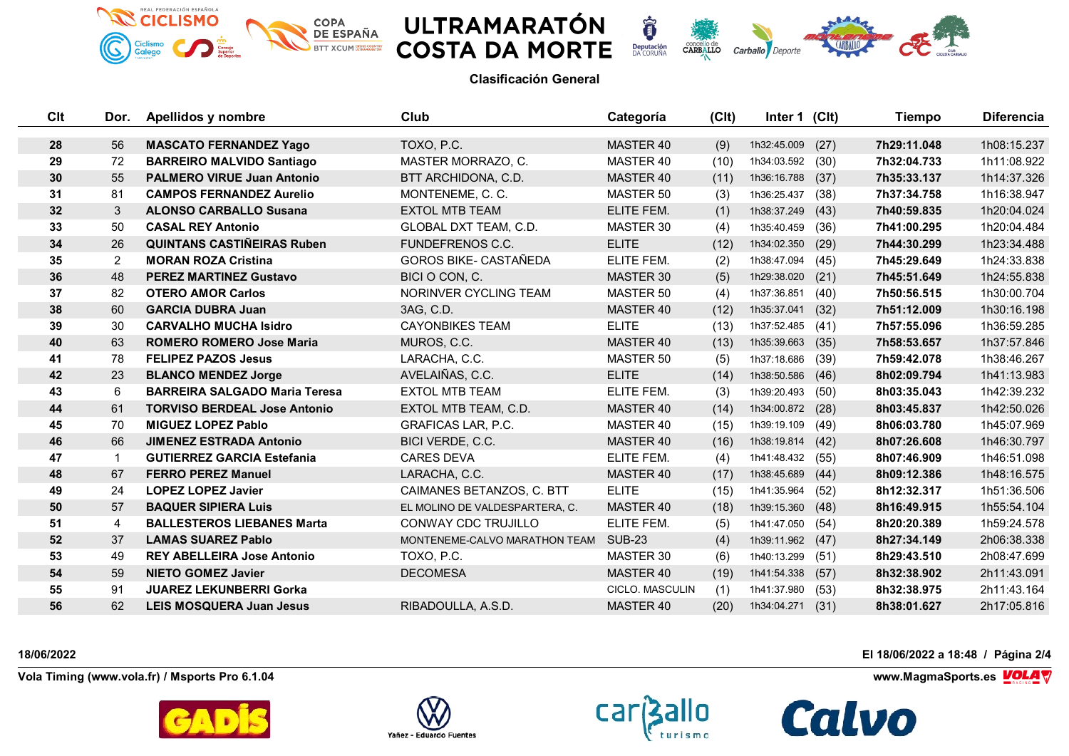







**Clasificación General**

â

| Clt | Dor. | Apellidos y nombre                   | Club                           | Categoría       | (C <sub>l</sub> ) | Inter 1 (Clt) |      | <b>Tiempo</b> | <b>Diferencia</b> |
|-----|------|--------------------------------------|--------------------------------|-----------------|-------------------|---------------|------|---------------|-------------------|
|     |      |                                      |                                |                 |                   |               |      |               |                   |
| 28  | 56   | <b>MASCATO FERNANDEZ Yago</b>        | TOXO, P.C.                     | MASTER 40       | (9)               | 1h32:45.009   | (27) | 7h29:11.048   | 1h08:15.237       |
| 29  | 72   | <b>BARREIRO MALVIDO Santiago</b>     | MASTER MORRAZO, C.             | MASTER 40       | (10)              | 1h34:03.592   | (30) | 7h32:04.733   | 1h11:08.922       |
| 30  | 55   | <b>PALMERO VIRUE Juan Antonio</b>    | BTT ARCHIDONA, C.D.            | MASTER 40       | (11)              | 1h36:16.788   | (37) | 7h35:33.137   | 1h14:37.326       |
| 31  | 81   | <b>CAMPOS FERNANDEZ Aurelio</b>      | MONTENEME, C. C.               | MASTER 50       | (3)               | 1h36:25.437   | (38) | 7h37:34.758   | 1h16:38.947       |
| 32  | 3    | <b>ALONSO CARBALLO Susana</b>        | <b>EXTOL MTB TEAM</b>          | ELITE FEM.      | (1)               | 1h38:37.249   | (43) | 7h40:59.835   | 1h20:04.024       |
| 33  | 50   | <b>CASAL REY Antonio</b>             | GLOBAL DXT TEAM, C.D.          | MASTER 30       | (4)               | 1h35:40.459   | (36) | 7h41:00.295   | 1h20:04.484       |
| 34  | 26   | <b>QUINTANS CASTIÑEIRAS Ruben</b>    | <b>FUNDEFRENOS C.C.</b>        | <b>ELITE</b>    | (12)              | 1h34:02.350   | (29) | 7h44:30.299   | 1h23:34.488       |
| 35  | 2    | <b>MORAN ROZA Cristina</b>           | GOROS BIKE- CASTAÑEDA          | ELITE FEM.      | (2)               | 1h38:47.094   | (45) | 7h45:29.649   | 1h24:33.838       |
| 36  | 48   | <b>PEREZ MARTINEZ Gustavo</b>        | BICI O CON, C.                 | MASTER 30       | (5)               | 1h29:38.020   | (21) | 7h45:51.649   | 1h24:55.838       |
| 37  | 82   | <b>OTERO AMOR Carlos</b>             | NORINVER CYCLING TEAM          | MASTER 50       | (4)               | 1h37:36.851   | (40) | 7h50:56.515   | 1h30:00.704       |
| 38  | 60   | <b>GARCIA DUBRA Juan</b>             | 3AG, C.D.                      | MASTER 40       | (12)              | 1h35:37.041   | (32) | 7h51:12.009   | 1h30:16.198       |
| 39  | 30   | <b>CARVALHO MUCHA Isidro</b>         | <b>CAYONBIKES TEAM</b>         | <b>ELITE</b>    | (13)              | 1h37:52.485   | (41) | 7h57:55.096   | 1h36:59.285       |
| 40  | 63   | <b>ROMERO ROMERO Jose Maria</b>      | MUROS, C.C.                    | MASTER 40       | (13)              | 1h35:39.663   | (35) | 7h58:53.657   | 1h37:57.846       |
| 41  | 78   | <b>FELIPEZ PAZOS Jesus</b>           | LARACHA, C.C.                  | MASTER 50       | (5)               | 1h37:18.686   | (39) | 7h59:42.078   | 1h38:46.267       |
| 42  | 23   | <b>BLANCO MENDEZ Jorge</b>           | AVELAIÑAS, C.C.                | <b>ELITE</b>    | (14)              | 1h38:50.586   | (46) | 8h02:09.794   | 1h41:13.983       |
| 43  | 6    | <b>BARREIRA SALGADO Maria Teresa</b> | <b>EXTOL MTB TEAM</b>          | ELITE FEM.      | (3)               | 1h39:20.493   | (50) | 8h03:35.043   | 1h42:39.232       |
| 44  | 61   | <b>TORVISO BERDEAL Jose Antonio</b>  | EXTOL MTB TEAM, C.D.           | MASTER 40       | (14)              | 1h34:00.872   | (28) | 8h03:45.837   | 1h42:50.026       |
| 45  | 70   | <b>MIGUEZ LOPEZ Pablo</b>            | <b>GRAFICAS LAR, P.C.</b>      | MASTER 40       | (15)              | 1h39:19.109   | (49) | 8h06:03.780   | 1h45:07.969       |
| 46  | 66   | <b>JIMENEZ ESTRADA Antonio</b>       | BICI VERDE, C.C.               | MASTER 40       | (16)              | 1h38:19.814   | (42) | 8h07:26.608   | 1h46:30.797       |
| 47  | -1   | <b>GUTIERREZ GARCIA Estefania</b>    | <b>CARES DEVA</b>              | ELITE FEM.      | (4)               | 1h41:48.432   | (55) | 8h07:46.909   | 1h46:51.098       |
| 48  | 67   | <b>FERRO PEREZ Manuel</b>            | LARACHA, C.C.                  | MASTER 40       | (17)              | 1h38:45.689   | (44) | 8h09:12.386   | 1h48:16.575       |
| 49  | 24   | <b>LOPEZ LOPEZ Javier</b>            | CAIMANES BETANZOS, C. BTT      | <b>ELITE</b>    | (15)              | 1h41:35.964   | (52) | 8h12:32.317   | 1h51:36.506       |
| 50  | 57   | <b>BAQUER SIPIERA Luis</b>           | EL MOLINO DE VALDESPARTERA, C. | MASTER 40       | (18)              | 1h39:15.360   | (48) | 8h16:49.915   | 1h55:54.104       |
| 51  | 4    | <b>BALLESTEROS LIEBANES Marta</b>    | CONWAY CDC TRUJILLO            | ELITE FEM.      | (5)               | 1h41:47.050   | (54) | 8h20:20.389   | 1h59:24.578       |
| 52  | 37   | <b>LAMAS SUAREZ Pablo</b>            | MONTENEME-CALVO MARATHON TEAM  | <b>SUB-23</b>   | (4)               | 1h39:11.962   | (47) | 8h27:34.149   | 2h06:38.338       |
| 53  | 49   | <b>REY ABELLEIRA Jose Antonio</b>    | TOXO, P.C.                     | MASTER 30       | (6)               | 1h40:13.299   | (51) | 8h29:43.510   | 2h08:47.699       |
| 54  | 59   | <b>NIETO GOMEZ Javier</b>            | <b>DECOMESA</b>                | MASTER 40       | (19)              | 1h41:54.338   | (57) | 8h32:38.902   | 2h11:43.091       |
| 55  | 91   | <b>JUAREZ LEKUNBERRI Gorka</b>       |                                | CICLO. MASCULIN | (1)               | 1h41:37.980   | (53) | 8h32:38.975   | 2h11:43.164       |
| 56  | 62   | <b>LEIS MOSQUERA Juan Jesus</b>      | RIBADOULLA, A.S.D.             | MASTER 40       | (20)              | 1h34:04.271   | (31) | 8h38:01.627   | 2h17:05.816       |

**Vola Timing (www.vola.fr) / Msports Pro 6.1.04 www.MagmaSports.es VOLA** 









**18/06/2022 El 18/06/2022 a 18:48 / Página 2/4**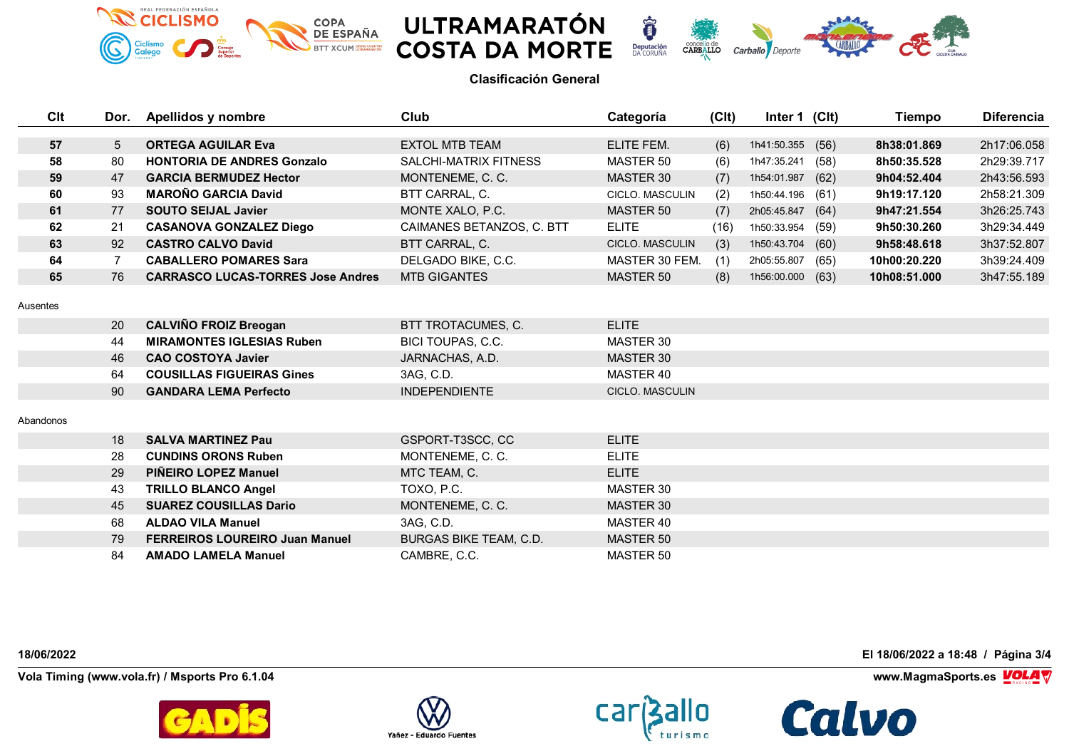







## **Clasificación General**

Î

| C <sub>it</sub> | Dor. | <b>Apellidos y nombre</b>                | Club                          | Categoría        | (C <sub>l</sub> ) | Inter 1 (CIt) |      | <b>Tiempo</b> | <b>Diferencia</b> |
|-----------------|------|------------------------------------------|-------------------------------|------------------|-------------------|---------------|------|---------------|-------------------|
| 57              | 5    | <b>ORTEGA AGUILAR Eva</b>                | <b>EXTOL MTB TEAM</b>         | ELITE FEM.       | (6)               | 1h41:50.355   | (56) | 8h38:01.869   | 2h17:06.058       |
| 58              | 80   | <b>HONTORIA DE ANDRES Gonzalo</b>        | SALCHI-MATRIX FITNESS         | MASTER 50        | (6)               | 1h47:35.241   | (58) | 8h50:35.528   | 2h29:39.717       |
| 59              | 47   | <b>GARCIA BERMUDEZ Hector</b>            | MONTENEME, C. C.              | MASTER 30        | (7)               | 1h54:01.987   | (62) | 9h04:52.404   | 2h43:56.593       |
| 60              | 93   | <b>MAROÑO GARCIA David</b>               | BTT CARRAL, C.                | CICLO. MASCULIN  | (2)               | 1h50:44.196   | (61) | 9h19:17.120   | 2h58:21.309       |
| 61              | 77   | <b>SOUTO SEIJAL Javier</b>               | MONTE XALO, P.C.              | MASTER 50        | (7)               | 2h05:45.847   | (64) | 9h47:21.554   | 3h26:25.743       |
| 62              | 21   | <b>CASANOVA GONZALEZ Diego</b>           | CAIMANES BETANZOS, C. BTT     | <b>ELITE</b>     | (16)              | 1h50:33.954   | (59) | 9h50:30.260   | 3h29:34.449       |
| 63              | 92   | <b>CASTRO CALVO David</b>                | BTT CARRAL, C.                | CICLO. MASCULIN  | (3)               | 1h50:43.704   | (60) | 9h58:48.618   | 3h37:52.807       |
| 64              |      | <b>CABALLERO POMARES Sara</b>            | DELGADO BIKE, C.C.            | MASTER 30 FEM.   | (1)               | 2h05:55.807   | (65) | 10h00:20.220  | 3h39:24.409       |
| 65              | 76   | <b>CARRASCO LUCAS-TORRES Jose Andres</b> | <b>MTB GIGANTES</b>           | <b>MASTER 50</b> | (8)               | 1h56:00.000   | (63) | 10h08:51.000  | 3h47:55.189       |
|                 |      |                                          |                               |                  |                   |               |      |               |                   |
| Ausentes        |      |                                          |                               |                  |                   |               |      |               |                   |
|                 | 20   | <b>CALVIÑO FROIZ Breogan</b>             | BTT TROTACUMES, C.            | <b>ELITE</b>     |                   |               |      |               |                   |
|                 | 44   | <b>MIRAMONTES IGLESIAS Ruben</b>         | BICI TOUPAS, C.C.             | MASTER 30        |                   |               |      |               |                   |
|                 | 46   | <b>CAO COSTOYA Javier</b>                | JARNACHAS, A.D.               | MASTER 30        |                   |               |      |               |                   |
|                 | 64   | <b>COUSILLAS FIGUEIRAS Gines</b>         | 3AG, C.D.                     | MASTER 40        |                   |               |      |               |                   |
|                 | 90   | <b>GANDARA LEMA Perfecto</b>             | <b>INDEPENDIENTE</b>          | CICLO. MASCULIN  |                   |               |      |               |                   |
|                 |      |                                          |                               |                  |                   |               |      |               |                   |
| Abandonos       |      |                                          |                               |                  |                   |               |      |               |                   |
|                 | 18   | <b>SALVA MARTINEZ Pau</b>                | GSPORT-T3SCC, CC              | <b>ELITE</b>     |                   |               |      |               |                   |
|                 | 28   | <b>CUNDINS ORONS Ruben</b>               | MONTENEME, C. C.              | <b>ELITE</b>     |                   |               |      |               |                   |
|                 | 29   | PIÑEIRO LOPEZ Manuel                     | MTC TEAM, C.                  | <b>ELITE</b>     |                   |               |      |               |                   |
|                 | 43   | <b>TRILLO BLANCO Angel</b>               | TOXO, P.C.                    | MASTER 30        |                   |               |      |               |                   |
|                 | 45   | <b>SUAREZ COUSILLAS Dario</b>            | MONTENEME, C. C.              | <b>MASTER 30</b> |                   |               |      |               |                   |
|                 | 68   | <b>ALDAO VILA Manuel</b>                 | 3AG, C.D.                     | MASTER 40        |                   |               |      |               |                   |
|                 | 79   | <b>FERREIROS LOUREIRO Juan Manuel</b>    | <b>BURGAS BIKE TEAM, C.D.</b> | <b>MASTER 50</b> |                   |               |      |               |                   |
|                 | 84   | <b>AMADO LAMELA Manuel</b>               | CAMBRE, C.C.                  | <b>MASTER 50</b> |                   |               |      |               |                   |

**Vola Timing (www.vola.fr) / Msports Pro 6.1.04 www.MagmaSports.es VOLA** 









**18/06/2022 El 18/06/2022 a 18:48 / Página 3/4**